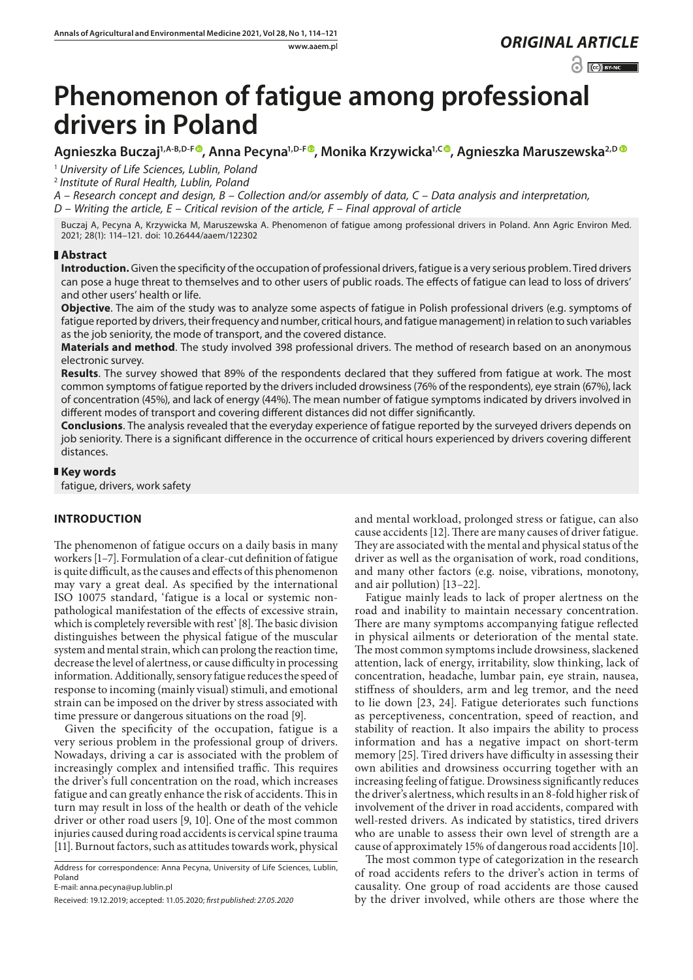$\odot$   $\odot$  BY-NC

# **Phenomenon of fatigue among professional drivers in Poland**

**Agnieszka Buczaj1,A-B,D-F [,](https://orcid.org/0000-0001-7666-8929) Anna Pecyna1,D-[F](https://orcid.org/0000-0003-2569-4371) , Monika Krzywicka1,C [,](https://orcid.org/0000-0002-9956-5348) Agnieszka Maruszewska2,[D](https://orcid.org/0000-0002-7725-6691)** 

<sup>1</sup> *University of Life Sciences, Lublin, Poland*

<sup>2</sup> *Institute of Rural Health, Lublin, Poland*

*A – Research concept and design, B – Collection and/or assembly of data, C – Data analysis and interpretation, D – Writing the article, E – Critical revision of the article, F – Final approval of article*

Buczaj A, Pecyna A, Krzywicka M, Maruszewska A. Phenomenon of fatigue among professional drivers in Poland. Ann Agric Environ Med. 2021; 28(1): 114–121. doi: 10.26444/aaem/122302

## **Abstract**

**Introduction.** Given the specificity of the occupation of professional drivers, fatigue is a very serious problem. Tired drivers can pose a huge threat to themselves and to other users of public roads. The effects of fatigue can lead to loss of drivers' and other users' health or life.

**Objective**. The aim of the study was to analyze some aspects of fatigue in Polish professional drivers (e.g. symptoms of fatigue reported by drivers, their frequency and number, critical hours, and fatigue management) in relation to such variables as the job seniority, the mode of transport, and the covered distance.

**Materials and method**. The study involved 398 professional drivers. The method of research based on an anonymous electronic survey.

**Results**. The survey showed that 89% of the respondents declared that they suffered from fatigue at work. The most common symptoms of fatigue reported by the drivers included drowsiness (76% of the respondents), eye strain (67%), lack of concentration (45%), and lack of energy (44%). The mean number of fatigue symptoms indicated by drivers involved in different modes of transport and covering different distances did not differ significantly.

**Conclusions**. The analysis revealed that the everyday experience of fatigue reported by the surveyed drivers depends on job seniority. There is a significant difference in the occurrence of critical hours experienced by drivers covering different distances.

## **Key words**

fatigue, drivers, work safety

# **INTRODUCTION**

The phenomenon of fatigue occurs on a daily basis in many workers [1–7]. Formulation of a clear-cut definition of fatigue is quite difficult, as the causes and effects of this phenomenon may vary a great deal. As specified by the international ISO 10075 standard, 'fatigue is a local or systemic nonpathological manifestation of the effects of excessive strain, which is completely reversible with rest' [8]. The basic division distinguishes between the physical fatigue of the muscular system and mental strain, which can prolong the reaction time, decrease the level of alertness, or cause difficulty in processing information. Additionally, sensory fatigue reduces the speed of response to incoming (mainly visual) stimuli, and emotional strain can be imposed on the driver by stress associated with time pressure or dangerous situations on the road [9].

Given the specificity of the occupation, fatigue is a very serious problem in the professional group of drivers. Nowadays, driving a car is associated with the problem of increasingly complex and intensified traffic. This requires the driver's full concentration on the road, which increases fatigue and can greatly enhance the risk of accidents. This in turn may result in loss of the health or death of the vehicle driver or other road users [9, 10]. One of the most common injuries caused during road accidents is cervical spine trauma [11]. Burnout factors, such as attitudes towards work, physical

Address for correspondence: Anna Pecyna, University of Life Sciences, Lublin, Poland

E-mail: anna.pecyna@up.lublin.pl

and mental workload, prolonged stress or fatigue, can also cause accidents [12]. There are many causes of driver fatigue. They are associated with the mental and physical status of the driver as well as the organisation of work, road conditions, and many other factors (e.g. noise, vibrations, monotony, and air pollution) [13–22].

Fatigue mainly leads to lack of proper alertness on the road and inability to maintain necessary concentration. There are many symptoms accompanying fatigue reflected in physical ailments or deterioration of the mental state. The most common symptoms include drowsiness, slackened attention, lack of energy, irritability, slow thinking, lack of concentration, headache, lumbar pain, eye strain, nausea, stiffness of shoulders, arm and leg tremor, and the need to lie down [23, 24]. Fatigue deteriorates such functions as perceptiveness, concentration, speed of reaction, and stability of reaction. It also impairs the ability to process information and has a negative impact on short-term memory [25]. Tired drivers have difficulty in assessing their own abilities and drowsiness occurring together with an increasing feeling of fatigue. Drowsiness significantly reduces the driver's alertness, which results in an 8-fold higher risk of involvement of the driver in road accidents, compared with well-rested drivers. As indicated by statistics, tired drivers who are unable to assess their own level of strength are a cause of approximately 15% of dangerous road accidents [10].

The most common type of categorization in the research of road accidents refers to the driver's action in terms of causality. One group of road accidents are those caused by the driver involved, while others are those where the

Received: 19.12.2019; accepted: 11.05.2020; *first published: 27.05.2020*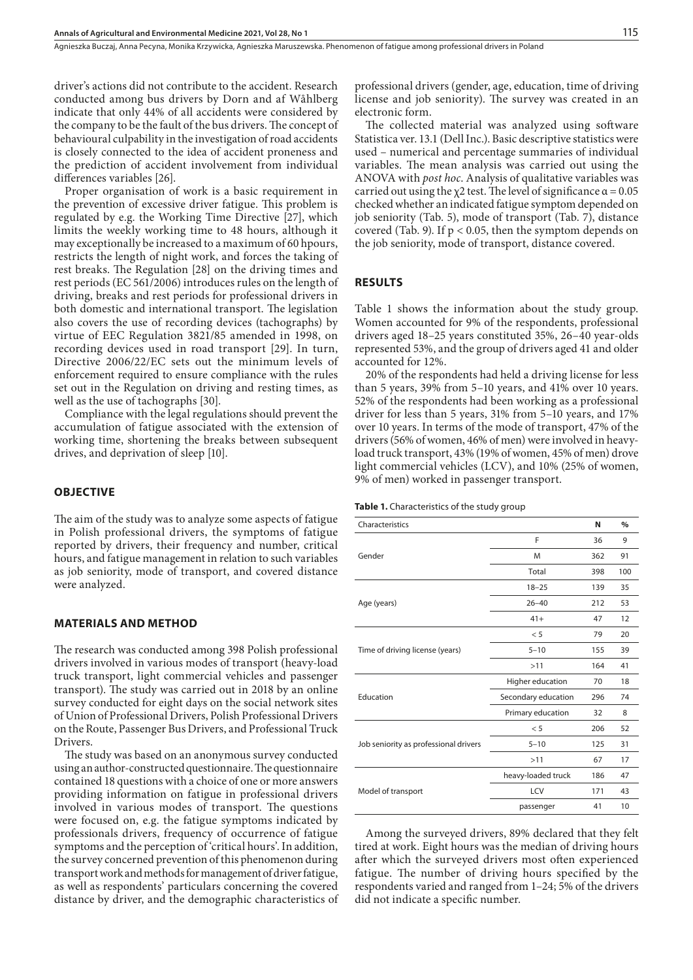driver's actions did not contribute to the accident. Research conducted among bus drivers by Dorn and af Wåhlberg indicate that only 44% of all accidents were considered by the company to be the fault of the bus drivers. The concept of behavioural culpability in the investigation of road accidents is closely connected to the idea of accident proneness and the prediction of accident involvement from individual differences variables [26].

Proper organisation of work is a basic requirement in the prevention of excessive driver fatigue. This problem is regulated by e.g. the Working Time Directive [27], which limits the weekly working time to 48 hours, although it may exceptionally be increased to a maximum of 60 hpours, restricts the length of night work, and forces the taking of rest breaks. The Regulation [28] on the driving times and rest periods (EC 561/2006) introduces rules on the length of driving, breaks and rest periods for professional drivers in both domestic and international transport. The legislation also covers the use of recording devices (tachographs) by virtue of EEC Regulation 3821/85 amended in 1998, on recording devices used in road transport [29]. In turn, Directive 2006/22/EC sets out the minimum levels of enforcement required to ensure compliance with the rules set out in the Regulation on driving and resting times, as well as the use of tachographs [30].

Compliance with the legal regulations should prevent the accumulation of fatigue associated with the extension of working time, shortening the breaks between subsequent drives, and deprivation of sleep [10].

#### **OBJECTIVE**

The aim of the study was to analyze some aspects of fatigue in Polish professional drivers, the symptoms of fatigue reported by drivers, their frequency and number, critical hours, and fatigue management in relation to such variables as job seniority, mode of transport, and covered distance were analyzed.

#### **MATERIALS AND METHOD**

The research was conducted among 398 Polish professional drivers involved in various modes of transport (heavy-load truck transport, light commercial vehicles and passenger transport). The study was carried out in 2018 by an online survey conducted for eight days on the social network sites of Union of Professional Drivers, Polish Professional Drivers on the Route, Passenger Bus Drivers, and Professional Truck Drivers.

The study was based on an anonymous survey conducted using an author-constructed questionnaire. The questionnaire contained 18 questions with a choice of one or more answers providing information on fatigue in professional drivers involved in various modes of transport. The questions were focused on, e.g. the fatigue symptoms indicated by professionals drivers, frequency of occurrence of fatigue symptoms and the perception of 'critical hours'. In addition, the survey concerned prevention of this phenomenon during transport work and methods for management of driver fatigue, as well as respondents' particulars concerning the covered distance by driver, and the demographic characteristics of professional drivers (gender, age, education, time of driving license and job seniority). The survey was created in an electronic form.

The collected material was analyzed using software Statistica ver. 13.1 (Dell Inc.). Basic descriptive statistics were used – numerical and percentage summaries of individual variables. The mean analysis was carried out using the ANOVA with *post hoc*. Analysis of qualitative variables was carried out using the  $\chi$ 2 test. The level of significance  $\alpha$  = 0.05 checked whether an indicated fatigue symptom depended on job seniority (Tab. 5), mode of transport (Tab. 7), distance covered (Tab. 9). If  $p < 0.05$ , then the symptom depends on the job seniority, mode of transport, distance covered.

#### **RESULTS**

Table 1 shows the information about the study group. Women accounted for 9% of the respondents, professional drivers aged 18–25 years constituted 35%, 26–40 year-olds represented 53%, and the group of drivers aged 41 and older accounted for 12%.

20% of the respondents had held a driving license for less than 5 years, 39% from 5–10 years, and 41% over 10 years. 52% of the respondents had been working as a professional driver for less than 5 years, 31% from 5–10 years, and 17% over 10 years. In terms of the mode of transport, 47% of the drivers (56% of women, 46% of men) were involved in heavyload truck transport, 43% (19% of women, 45% of men) drove light commercial vehicles (LCV), and 10% (25% of women, 9% of men) worked in passenger transport.

**Table 1.** Characteristics of the study group

| Characteristics                       |                     | N   | $\%$ |
|---------------------------------------|---------------------|-----|------|
|                                       | F                   | 36  | 9    |
| Gender                                | M                   | 362 | 91   |
|                                       | Total               | 398 | 100  |
|                                       | $18 - 25$           | 139 | 35   |
| Age (years)                           | $26 - 40$           | 212 | 53   |
|                                       | $41+$               | 47  | 12   |
|                                       | < 5                 | 79  | 20   |
| Time of driving license (years)       | $5 - 10$            | 155 | 39   |
|                                       | >11                 | 164 | 41   |
|                                       | Higher education    | 70  | 18   |
| Education                             | Secondary education | 296 | 74   |
|                                       | Primary education   | 32  | 8    |
|                                       | < 5                 | 206 | 52   |
| Job seniority as professional drivers | $5 - 10$            | 125 | 31   |
|                                       | >11                 | 67  | 17   |
|                                       | heavy-loaded truck  | 186 | 47   |
| Model of transport                    | <b>LCV</b>          | 171 | 43   |
|                                       | passenger           | 41  | 10   |
|                                       |                     |     |      |

Among the surveyed drivers, 89% declared that they felt tired at work. Eight hours was the median of driving hours after which the surveyed drivers most often experienced fatigue. The number of driving hours specified by the respondents varied and ranged from 1–24; 5% of the drivers did not indicate a specific number.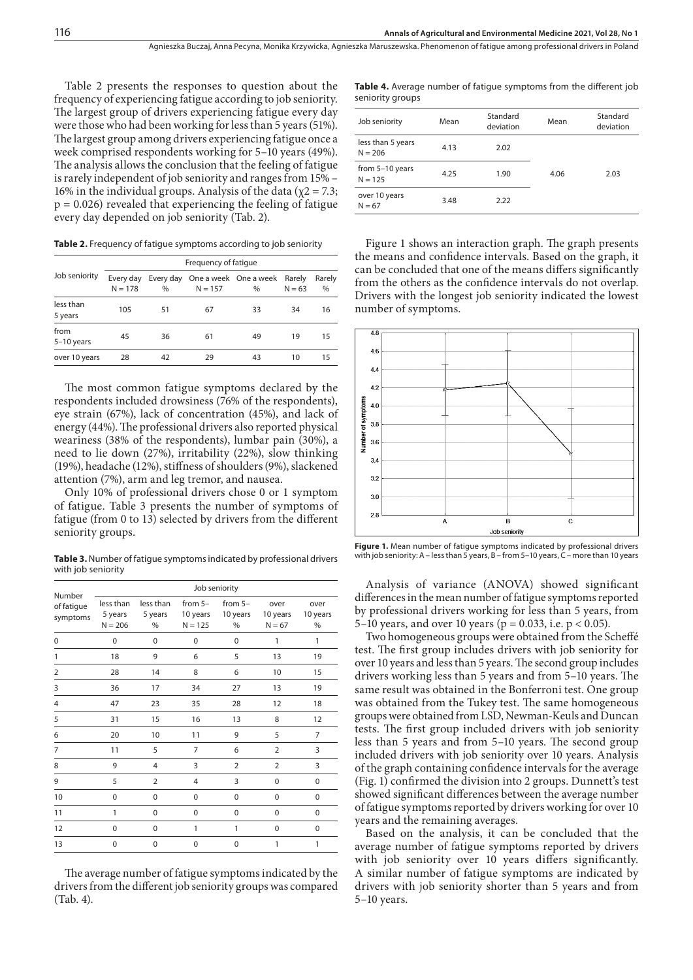Agnieszka Buczaj, Anna Pecyna, Monika Krzywicka, Agnieszka Maruszewska . Phenomenon of fatigue among professional drivers in Poland

Table 2 presents the responses to question about the frequency of experiencing fatigue according to job seniority. The largest group of drivers experiencing fatigue every day were those who had been working for less than 5 years (51%). The largest group among drivers experiencing fatigue once a week comprised respondents working for 5–10 years (49%). The analysis allows the conclusion that the feeling of fatigue is rarely independent of job seniority and ranges from 15% – 16% in the individual groups. Analysis of the data ( $χ$ 2 = 7.3;  $p = 0.026$ ) revealed that experiencing the feeling of fatigue every day depended on job seniority (Tab. 2).

**Table 2.** Frequency of fatigue symptoms according to job seniority

|                      | Frequency of fatique   |      |           |                                         |                    |             |  |  |  |  |
|----------------------|------------------------|------|-----------|-----------------------------------------|--------------------|-------------|--|--|--|--|
| Job seniority        | Every day<br>$N = 178$ | $\%$ | $N = 157$ | Every day One a week One a week<br>$\%$ | Rarely<br>$N = 63$ | Rarely<br>% |  |  |  |  |
| less than<br>5 years | 105                    | 51   | 67        | 33                                      | 34                 | 16          |  |  |  |  |
| from<br>$5-10$ years | 45                     | 36   | 61        | 49                                      | 19                 | 15          |  |  |  |  |
| over 10 years        | 28                     | 42   | 29        | 43                                      | 10                 | 15          |  |  |  |  |

The most common fatigue symptoms declared by the respondents included drowsiness (76% of the respondents), eye strain (67%), lack of concentration (45%), and lack of energy (44%). The professional drivers also reported physical weariness (38% of the respondents), lumbar pain (30%), a need to lie down (27%), irritability (22%), slow thinking (19%), headache (12%), stiffness of shoulders (9%), slackened attention (7%), arm and leg tremor, and nausea.

Only 10% of professional drivers chose 0 or 1 symptom of fatigue. Table 3 presents the number of symptoms of fatigue (from 0 to 13) selected by drivers from the different seniority groups.

**Table 3.** Number of fatigue symptoms indicated by professional drivers with job seniority

|                                  | Job seniority                     |                           |                                    |                            |                              |                          |  |  |  |
|----------------------------------|-----------------------------------|---------------------------|------------------------------------|----------------------------|------------------------------|--------------------------|--|--|--|
| Number<br>of fatigue<br>symptoms | less than<br>5 years<br>$N = 206$ | less than<br>5 years<br>% | from $5-$<br>10 years<br>$N = 125$ | from $5-$<br>10 years<br>% | over<br>10 years<br>$N = 67$ | over<br>10 years<br>$\%$ |  |  |  |
| $\Omega$                         | $\Omega$                          | $\Omega$                  | $\Omega$                           | 0                          | 1                            | 1                        |  |  |  |
| 1                                | 18                                | 9                         | 6                                  | 5                          | 13                           | 19                       |  |  |  |
| 2                                | 28                                | 14                        | 8                                  | 6                          | 10                           | 15                       |  |  |  |
| 3                                | 36                                | 17                        | 34                                 | 27                         | 13                           | 19                       |  |  |  |
| 4                                | 47                                | 23                        | 35                                 | 28                         | 12                           | 18                       |  |  |  |
| 5                                | 31                                | 15                        | 16                                 | 13                         | 8                            | 12                       |  |  |  |
| 6                                | 20                                | 10                        | 11                                 | 9                          | 5                            | $\overline{7}$           |  |  |  |
| 7                                | 11                                | 5                         | 7                                  | 6                          | $\overline{2}$               | 3                        |  |  |  |
| 8                                | 9                                 | 4                         | 3                                  | $\overline{2}$             | $\overline{2}$               | 3                        |  |  |  |
| 9                                | 5                                 | $\overline{2}$            | 4                                  | 3                          | 0                            | 0                        |  |  |  |
| 10                               | 0                                 | 0                         | 0                                  | 0                          | 0                            | 0                        |  |  |  |
| 11                               | 1                                 | 0                         | 0                                  | $\mathbf 0$                | 0                            | 0                        |  |  |  |
| 12                               | $\Omega$                          | $\Omega$                  | 1                                  | 1                          | $\Omega$                     | $\Omega$                 |  |  |  |
| 13                               | $\Omega$                          | $\Omega$                  | $\Omega$                           | 0                          | 1                            | 1                        |  |  |  |

The average number of fatigue symptoms indicated by the drivers from the different job seniority groups was compared (Tab. 4).

**Table 4.** Average number of fatigue symptoms from the different job seniority groups

| Job seniority                  | Mean | Standard<br>deviation | Mean | Standard<br>deviation |
|--------------------------------|------|-----------------------|------|-----------------------|
| less than 5 years<br>$N = 206$ | 4.13 | 2.02                  |      |                       |
| from 5-10 years<br>$N = 125$   | 4.25 | 1.90                  | 4.06 | 2.03                  |
| over 10 years<br>$N = 67$      | 3.48 | 2.22                  |      |                       |

Figure 1 shows an interaction graph. The graph presents the means and confidence intervals. Based on the graph, it can be concluded that one of the means differs significantly from the others as the confidence intervals do not overlap. Drivers with the longest job seniority indicated the lowest number of symptoms.



**Figure 1.** Mean number of fatigue symptoms indicated by professional drivers with job seniority: A – less than 5 years, B – from 5–10 years, C – more than 10 years

Analysis of variance (ANOVA) showed significant differences in the mean number of fatigue symptoms reported by professional drivers working for less than 5 years, from 5–10 years, and over 10 years ( $p = 0.033$ , i.e.  $p < 0.05$ ).

Two homogeneous groups were obtained from the Scheffé test. The first group includes drivers with job seniority for over 10 years and less than 5 years. The second group includes drivers working less than 5 years and from 5–10 years. The same result was obtained in the Bonferroni test. One group was obtained from the Tukey test. The same homogeneous groups were obtained from LSD, Newman-Keuls and Duncan tests. The first group included drivers with job seniority less than 5 years and from 5–10 years. The second group included drivers with job seniority over 10 years. Analysis of the graph containing confidence intervals for the average (Fig. 1) confirmed the division into 2 groups. Dunnett's test showed significant differences between the average number of fatigue symptoms reported by drivers working for over 10 years and the remaining averages.

Based on the analysis, it can be concluded that the average number of fatigue symptoms reported by drivers with job seniority over 10 years differs significantly. A similar number of fatigue symptoms are indicated by drivers with job seniority shorter than 5 years and from 5–10 years.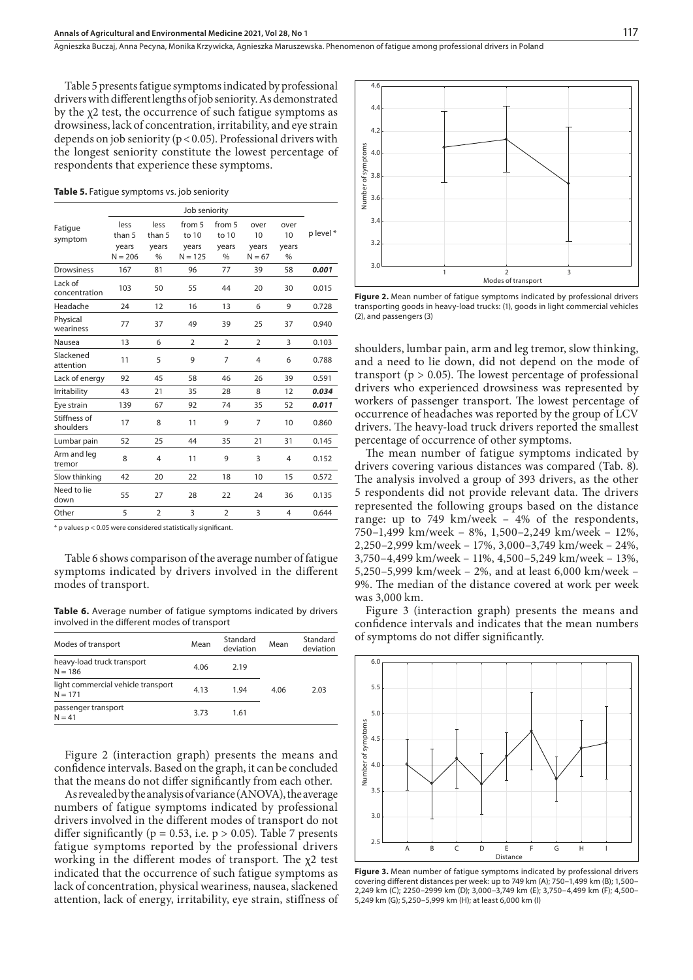Table 5 presents fatigue symptoms indicated by professional drivers with different lengths of job seniority. As demonstrated by the χ2 test, the occurrence of such fatigue symptoms as drowsiness, lack of concentration, irritability, and eye strain depends on job seniority ( $p < 0.05$ ). Professional drivers with the longest seniority constitute the lowest percentage of respondents that experience these symptoms.

**Table 5.** Fatigue symptoms vs. job seniority

|                           | Job seniority      |                |                    |                 |                   |                |          |  |
|---------------------------|--------------------|----------------|--------------------|-----------------|-------------------|----------------|----------|--|
| Fatigue                   | less<br>than 5     | less<br>than 5 | from 5<br>to 10    | from 5<br>to 10 | over<br>10        | over<br>10     | p level* |  |
| symptom                   | years<br>$N = 206$ | years<br>$\%$  | years<br>$N = 125$ | years<br>$\%$   | years<br>$N = 67$ | years<br>$\%$  |          |  |
| Drowsiness                | 167                | 81             | 96                 | 77              | 39                | 58             | 0.001    |  |
| Lack of<br>concentration  | 103                | 50             | 55                 | 44              | 20                | 30             | 0.015    |  |
| Headache                  | 24                 | 12             | 16                 | 13              | 6                 | 9              | 0.728    |  |
| Physical<br>weariness     | 77                 | 37             | 49                 | 39              | 25                | 37             | 0.940    |  |
| Nausea                    | 13                 | 6              | $\overline{2}$     | $\overline{2}$  | $\overline{2}$    | 3              | 0.103    |  |
| Slackened<br>attention    | 11                 | 5              | 9                  | 7               | 4                 | 6              | 0.788    |  |
| Lack of energy            | 92                 | 45             | 58                 | 46              | 26                | 39             | 0.591    |  |
| Irritability              | 43                 | 21             | 35                 | 28              | 8                 | 12             | 0.034    |  |
| Eye strain                | 139                | 67             | 92                 | 74              | 35                | 52             | 0.011    |  |
| Stiffness of<br>shoulders | 17                 | 8              | 11                 | 9               | 7                 | 10             | 0.860    |  |
| Lumbar pain               | 52                 | 25             | 44                 | 35              | 21                | 31             | 0.145    |  |
| Arm and leg<br>tremor     | 8                  | $\overline{4}$ | 11                 | 9               | 3                 | $\overline{4}$ | 0.152    |  |
| Slow thinking             | 42                 | 20             | 22                 | 18              | 10                | 15             | 0.572    |  |
| Need to lie<br>down       | 55                 | 27             | 28                 | 22              | 24                | 36             | 0.135    |  |
| Other                     | 5                  | $\overline{2}$ | 3                  | $\overline{2}$  | 3                 | $\overline{4}$ | 0.644    |  |
|                           |                    |                |                    |                 |                   |                |          |  |

\* p values p < 0.05 were considered statistically significant.

Table 6 shows comparison of the average number of fatigue symptoms indicated by drivers involved in the different modes of transport.

**Table 6.** Average number of fatigue symptoms indicated by drivers involved in the different modes of transport

| Modes of transport                              | Mean | Standard<br>deviation | Mean | Standard<br>deviation |
|-------------------------------------------------|------|-----------------------|------|-----------------------|
| heavy-load truck transport<br>$N = 186$         | 4.06 | 2.19                  |      |                       |
| light commercial vehicle transport<br>$N = 171$ | 4.13 | 1.94                  | 4.06 | 2.03                  |
| passenger transport<br>$N = 41$                 | 3.73 | 1.61                  |      |                       |

Figure 2 (interaction graph) presents the means and confidence intervals. Based on the graph, it can be concluded that the means do not differ significantly from each other.

As revealed by the analysis of variance (ANOVA), the average numbers of fatigue symptoms indicated by professional drivers involved in the different modes of transport do not differ significantly ( $p = 0.53$ , i.e.  $p > 0.05$ ). Table 7 presents fatigue symptoms reported by the professional drivers working in the different modes of transport. The χ2 test indicated that the occurrence of such fatigue symptoms as lack of concentration, physical weariness, nausea, slackened attention, lack of energy, irritability, eye strain, stiffness of



**Figure 2.** Mean number of fatigue symptoms indicated by professional drivers transporting goods in heavy-load trucks: (1), goods in light commercial vehicles (2), and passengers (3)

shoulders, lumbar pain, arm and leg tremor, slow thinking, and a need to lie down, did not depend on the mode of transport ( $p > 0.05$ ). The lowest percentage of professional drivers who experienced drowsiness was represented by workers of passenger transport. The lowest percentage of occurrence of headaches was reported by the group of LCV drivers. The heavy-load truck drivers reported the smallest percentage of occurrence of other symptoms.

The mean number of fatigue symptoms indicated by drivers covering various distances was compared (Tab. 8). The analysis involved a group of 393 drivers, as the other 5 respondents did not provide relevant data. The drivers represented the following groups based on the distance range: up to 749 km/week – 4% of the respondents, 750–1,499 km/week – 8%, 1,500–2,249 km/week – 12%, 2,250–2,999 km/week – 17%, 3,000–3,749 km/week – 24%, 3,750–4,499 km/week – 11%, 4,500–5,249 km/week – 13%, 5,250–5,999 km/week – 2%, and at least 6,000 km/week – 9%. The median of the distance covered at work per week was 3,000 km.

Figure 3 (interaction graph) presents the means and confidence intervals and indicates that the mean numbers of symptoms do not differ significantly.



**Figure 3.** Mean number of fatigue symptoms indicated by professional drivers covering different distances per week: up to 749 km (A); 750–1,499 km (B); 1,500– 2,249 km (C); 2250–2999 km (D); 3,000–3,749 km (E); 3,750–4,499 km (F); 4,500– 5,249 km (G); 5,250–5,999 km (H); at least 6,000 km (I)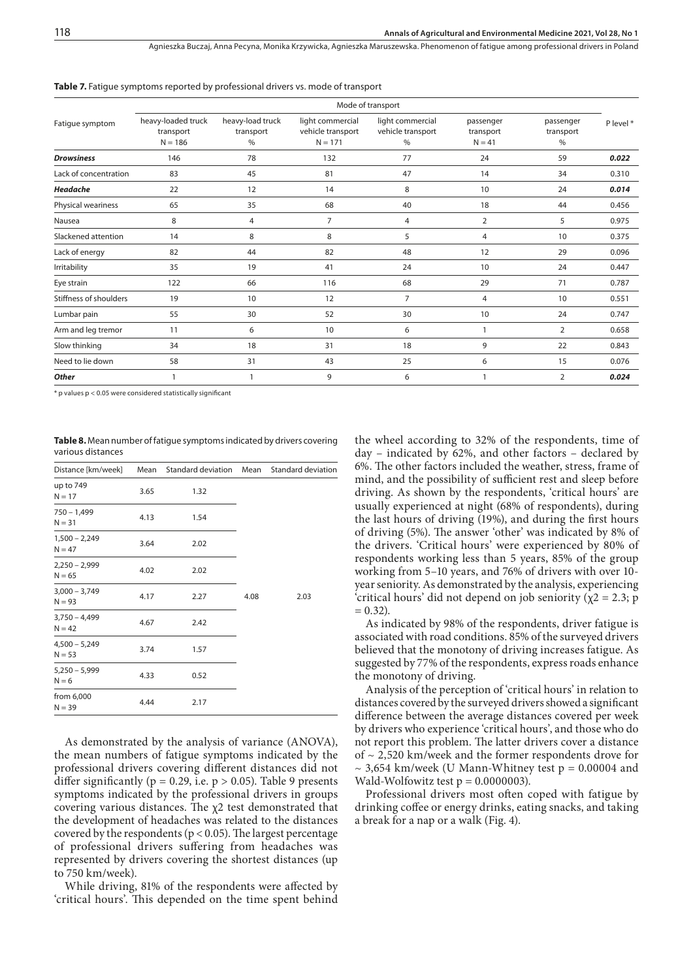Agnieszka Buczaj, Anna Pecyna, Monika Krzywicka, Agnieszka Maruszewska . Phenomenon of fatigue among professional drivers in Poland

|                        | Mode of transport                            |                                    |                                                    |                                               |                                    |                                |           |  |
|------------------------|----------------------------------------------|------------------------------------|----------------------------------------------------|-----------------------------------------------|------------------------------------|--------------------------------|-----------|--|
| Fatigue symptom        | heavy-loaded truck<br>transport<br>$N = 186$ | heavy-load truck<br>transport<br>% | light commercial<br>vehicle transport<br>$N = 171$ | light commercial<br>vehicle transport<br>$\%$ | passenger<br>transport<br>$N = 41$ | passenger<br>transport<br>$\%$ | P level * |  |
| <b>Drowsiness</b>      | 146                                          | 78                                 | 132                                                | 77                                            | 24                                 | 59                             | 0.022     |  |
| Lack of concentration  | 83                                           | 45                                 | 81                                                 | 47                                            | 14                                 | 34                             | 0.310     |  |
| Headache               | 22                                           | 12                                 | 14                                                 | 8                                             | 10                                 | 24                             | 0.014     |  |
| Physical weariness     | 65                                           | 35                                 | 68                                                 | 40                                            | 18                                 | 44                             | 0.456     |  |
| Nausea                 | 8                                            | 4                                  | $\overline{7}$                                     | 4                                             | 2                                  | 5                              | 0.975     |  |
| Slackened attention    | 14                                           | 8                                  | 8                                                  | 5                                             | 4                                  | 10                             | 0.375     |  |
| Lack of energy         | 82                                           | 44                                 | 82                                                 | 48                                            | 12                                 | 29                             | 0.096     |  |
| Irritability           | 35                                           | 19                                 | 41                                                 | 24                                            | 10                                 | 24                             | 0.447     |  |
| Eye strain             | 122                                          | 66                                 | 116                                                | 68                                            | 29                                 | 71                             | 0.787     |  |
| Stiffness of shoulders | 19                                           | 10                                 | 12                                                 | $\overline{7}$                                | $\overline{4}$                     | 10                             | 0.551     |  |
| Lumbar pain            | 55                                           | 30                                 | 52                                                 | 30                                            | 10                                 | 24                             | 0.747     |  |
| Arm and leg tremor     | 11                                           | 6                                  | 10                                                 | 6                                             |                                    | 2                              | 0.658     |  |
| Slow thinking          | 34                                           | 18                                 | 31                                                 | 18                                            | 9                                  | 22                             | 0.843     |  |
| Need to lie down       | 58                                           | 31                                 | 43                                                 | 25                                            | 6                                  | 15                             | 0.076     |  |
| Other                  |                                              |                                    | 9                                                  | 6                                             |                                    | $\overline{2}$                 | 0.024     |  |

Table 7. Fatigue symptoms reported by professional drivers vs. mode of transport

\* p values p < 0.05 were considered statistically significant

**Table 8.** Mean number of fatigue symptoms indicated by drivers covering various distances

| Distance [km/week]          | Mean | Standard deviation Mean |      | Standard deviation |  |  |
|-----------------------------|------|-------------------------|------|--------------------|--|--|
| up to 749<br>$N = 17$       | 3.65 | 1.32                    |      |                    |  |  |
| $750 - 1,499$<br>$N = 31$   | 4.13 | 1.54                    |      |                    |  |  |
| $1,500 - 2,249$<br>$N = 47$ | 3.64 | 2.02                    |      |                    |  |  |
| $2,250 - 2,999$<br>$N = 65$ | 4.02 | 2.02                    |      |                    |  |  |
| $3,000 - 3,749$<br>$N = 93$ | 4.17 | 2.27                    | 4.08 | 2.03               |  |  |
| $3,750 - 4,499$<br>$N = 42$ | 4.67 | 2.42                    |      |                    |  |  |
| $4,500 - 5,249$<br>$N = 53$ | 3.74 | 1.57                    |      |                    |  |  |
| $5,250 - 5,999$<br>$N = 6$  | 4.33 | 0.52                    |      |                    |  |  |
| from 6,000<br>$N = 39$      | 4.44 | 2.17                    |      |                    |  |  |

As demonstrated by the analysis of variance (ANOVA), the mean numbers of fatigue symptoms indicated by the professional drivers covering different distances did not differ significantly ( $p = 0.29$ , i.e.  $p > 0.05$ ). Table 9 presents symptoms indicated by the professional drivers in groups covering various distances. The  $\chi$ 2 test demonstrated that the development of headaches was related to the distances covered by the respondents ( $p < 0.05$ ). The largest percentage of professional drivers suffering from headaches was represented by drivers covering the shortest distances (up to 750 km/week).

While driving, 81% of the respondents were affected by 'critical hours'. This depended on the time spent behind the wheel according to 32% of the respondents, time of day – indicated by 62%, and other factors – declared by 6%. The other factors included the weather, stress, frame of mind, and the possibility of sufficient rest and sleep before driving. As shown by the respondents, 'critical hours' are usually experienced at night (68% of respondents), during the last hours of driving (19%), and during the first hours of driving (5%). The answer 'other' was indicated by 8% of the drivers. 'Critical hours' were experienced by 80% of respondents working less than 5 years, 85% of the group working from 5–10 years, and 76% of drivers with over 10 year seniority. As demonstrated by the analysis, experiencing 'critical hours' did not depend on job seniority ( $\chi$ 2 = 2.3; p  $= 0.32$ ).

As indicated by 98% of the respondents, driver fatigue is associated with road conditions. 85% of the surveyed drivers believed that the monotony of driving increases fatigue. As suggested by 77% of the respondents, express roads enhance the monotony of driving.

Analysis of the perception of 'critical hours' in relation to distances covered by the surveyed drivers showed a significant difference between the average distances covered per week by drivers who experience 'critical hours', and those who do not report this problem. The latter drivers cover a distance of ~ 2,520 km/week and the former respondents drove for  $\sim$  3,654 km/week (U Mann-Whitney test  $p = 0.00004$  and Wald-Wolfowitz test  $p = 0.0000003$ .

Professional drivers most often coped with fatigue by drinking coffee or energy drinks, eating snacks, and taking a break for a nap or a walk (Fig. 4).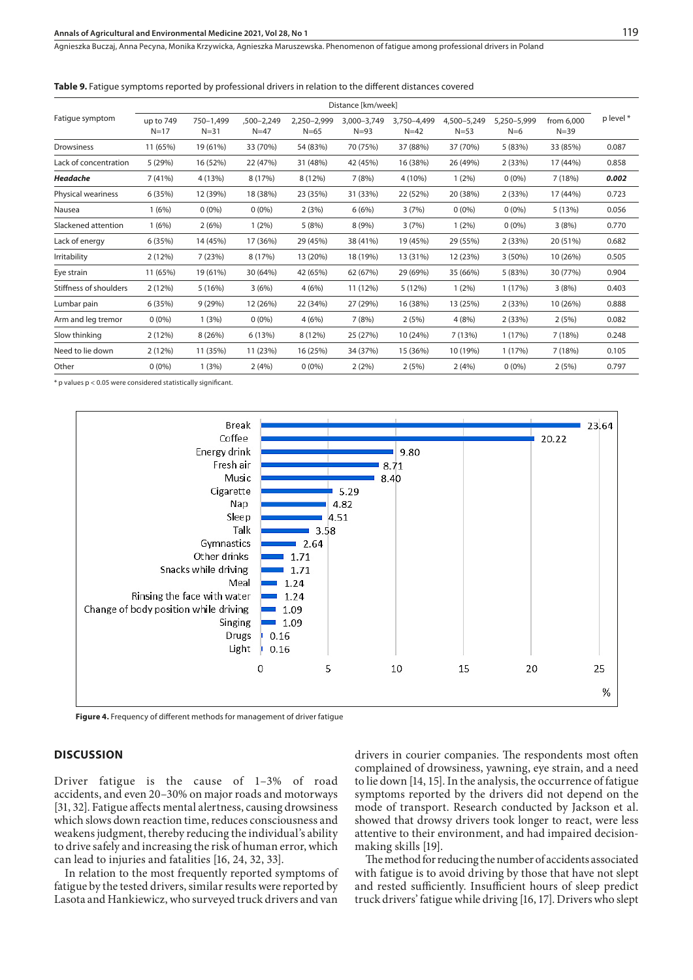#### **Annals of Agricultural and Environmental Medicine 2021, Vol 28, No 1** 119

Agnieszka Buczaj, Anna Pecyna, Monika Krzywicka, Agnieszka Maruszewska . Phenomenon of fatigue among professional drivers in Poland

**Table 9.** Fatigue symptoms reported by professional drivers in relation to the different distances covered

|                        | Distance [km/week]    |                       |                      |                         |                         |                       |                         |                      |                        |           |
|------------------------|-----------------------|-----------------------|----------------------|-------------------------|-------------------------|-----------------------|-------------------------|----------------------|------------------------|-----------|
| Fatigue symptom        | up to 749<br>$N = 17$ | 750-1.499<br>$N = 31$ | ,500-2,249<br>$N=47$ | 2.250-2.999<br>$N = 65$ | 3.000-3.749<br>$N = 93$ | 3.750-4.499<br>$N=42$ | 4,500-5,249<br>$N = 53$ | 5,250-5,999<br>$N=6$ | from 6,000<br>$N = 39$ | p level * |
| <b>Drowsiness</b>      | 11 (65%)              | 19 (61%)              | 33 (70%)             | 54 (83%)                | 70 (75%)                | 37 (88%)              | 37 (70%)                | 5(83%)               | 33 (85%)               | 0.087     |
| Lack of concentration  | 5 (29%)               | 16 (52%)              | 22 (47%)             | 31 (48%)                | 42 (45%)                | 16 (38%)              | 26 (49%)                | 2(33%)               | 17 (44%)               | 0.858     |
| Headache               | 7(41%)                | 4 (13%)               | 8 (17%)              | 8 (12%)                 | 7(8%)                   | 4 (10%)               | $1(2\%)$                | $0(0\%)$             | 7(18%)                 | 0.002     |
| Physical weariness     | 6(35%)                | 12 (39%)              | 18 (38%)             | 23 (35%)                | 31 (33%)                | 22 (52%)              | 20 (38%)                | 2(33%)               | 17 (44%)               | 0.723     |
| Nausea                 | 1(6%)                 | $0(0\%)$              | $0(0\%)$             | 2(3%)                   | 6(6%)                   | 3(7%)                 | $0(0\%)$                | $0(0\%)$             | 5(13%)                 | 0.056     |
| Slackened attention    | 1(6%)                 | 2(6%)                 | 1(2%)                | 5(8%)                   | 8(9%)                   | 3(7%)                 | 1(2%)                   | $0(0\%)$             | 3(8%)                  | 0.770     |
| Lack of energy         | 6(35%)                | 14 (45%)              | 17 (36%)             | 29 (45%)                | 38 (41%)                | 19 (45%)              | 29 (55%)                | 2(33%)               | 20 (51%)               | 0.682     |
| Irritability           | 2 (12%)               | 7(23%)                | 8 (17%)              | 13 (20%)                | 18 (19%)                | 13 (31%)              | 12 (23%)                | $3(50\%)$            | 10 (26%)               | 0.505     |
| Eye strain             | 11 (65%)              | 19 (61%)              | 30 (64%)             | 42 (65%)                | 62 (67%)                | 29 (69%)              | 35 (66%)                | 5 (83%)              | 30 (77%)               | 0.904     |
| Stiffness of shoulders | 2(12%)                | 5(16%)                | 3(6%)                | 4(6%)                   | 11 (12%)                | 5 (12%)               | 1(2%)                   | 1(17%)               | 3(8%)                  | 0.403     |
| Lumbar pain            | 6(35%)                | 9(29%)                | 12 (26%)             | 22 (34%)                | 27 (29%)                | 16 (38%)              | 13 (25%)                | 2(33%)               | 10 (26%)               | 0.888     |
| Arm and leg tremor     | $0(0\%)$              | 1(3%)                 | $0(0\%)$             | 4(6%)                   | 7(8%)                   | 2(5%)                 | 4(8%)                   | 2(33%)               | 2(5%)                  | 0.082     |
| Slow thinking          | 2(12%)                | 8(26%)                | 6 (13%)              | 8 (12%)                 | 25 (27%)                | 10 (24%)              | 7 (13%)                 | 1(17%)               | 7(18%)                 | 0.248     |
| Need to lie down       | 2(12%)                | 11 (35%)              | 11 (23%)             | 16 (25%)                | 34 (37%)                | 15 (36%)              | 10 (19%)                | 1(17%)               | 7(18%)                 | 0.105     |
| Other                  | $0(0\%)$              | 1(3%)                 | 2(4%)                | $0(0\%)$                | 2(2%)                   | 2(5%)                 | 2(4%)                   | $0(0\%)$             | 2(5%)                  | 0.797     |

\* p values p < 0.05 were considered statistically significant.



**Figure 4.** Frequency of different methods for management of driver fatigue

#### **DISCUSSION**

Driver fatigue is the cause of 1–3% of road accidents, and even 20–30% on major roads and motorways [31, 32]. Fatigue affects mental alertness, causing drowsiness which slows down reaction time, reduces consciousness and weakens judgment, thereby reducing the individual's ability to drive safely and increasing the risk of human error, which can lead to injuries and fatalities [16, 24, 32, 33].

In relation to the most frequently reported symptoms of fatigue by the tested drivers, similar results were reported by Lasota and Hankiewicz, who surveyed truck drivers and van

drivers in courier companies. The respondents most often complained of drowsiness, yawning, eye strain, and a need to lie down [14, 15]. In the analysis, the occurrence of fatigue symptoms reported by the drivers did not depend on the mode of transport. Research conducted by Jackson et al. showed that drowsy drivers took longer to react, were less attentive to their environment, and had impaired decisionmaking skills [19].

The method for reducing the number of accidents associated with fatigue is to avoid driving by those that have not slept and rested sufficiently. Insufficient hours of sleep predict truck drivers' fatigue while driving [16, 17]. Drivers who slept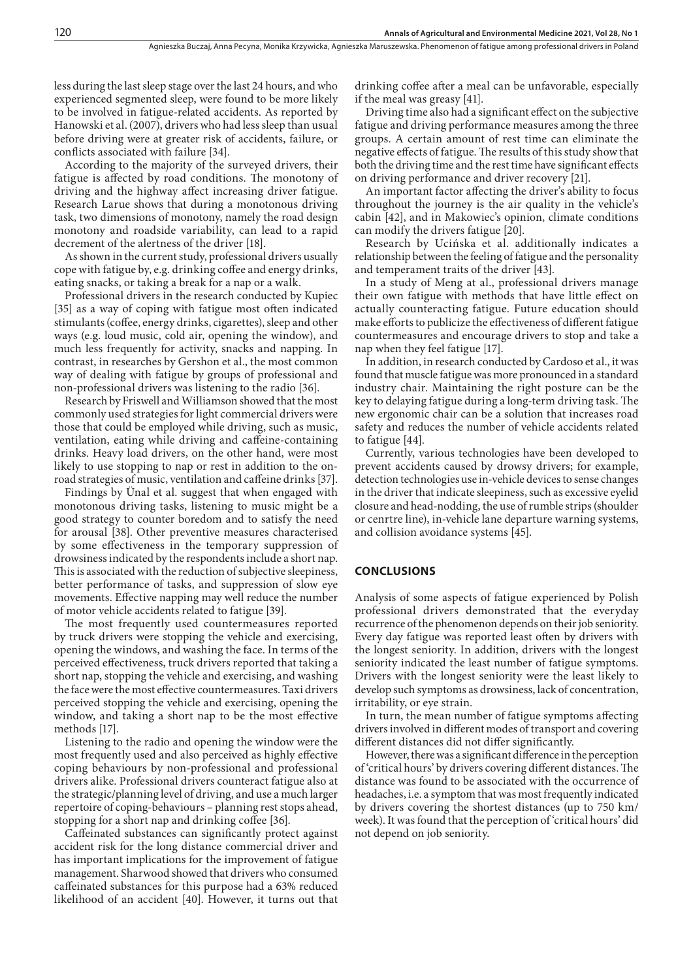less during the last sleep stage over the last 24 hours, and who experienced segmented sleep, were found to be more likely to be involved in fatigue-related accidents. As reported by Hanowski et al. (2007), drivers who had less sleep than usual before driving were at greater risk of accidents, failure, or conflicts associated with failure [34].

According to the majority of the surveyed drivers, their fatigue is affected by road conditions. The monotony of driving and the highway affect increasing driver fatigue. Research Larue shows that during a monotonous driving task, two dimensions of monotony, namely the road design monotony and roadside variability, can lead to a rapid decrement of the alertness of the driver [18].

As shown in the current study, professional drivers usually cope with fatigue by, e.g. drinking coffee and energy drinks, eating snacks, or taking a break for a nap or a walk.

Professional drivers in the research conducted by Kupiec [35] as a way of coping with fatigue most often indicated stimulants (coffee, energy drinks, cigarettes), sleep and other ways (e.g. loud music, cold air, opening the window), and much less frequently for activity, snacks and napping. In contrast, in researches by Gershon et al., the most common way of dealing with fatigue by groups of professional and non-professional drivers was listening to the radio [36].

Research by Friswell and Williamson showed that the most commonly used strategies for light commercial drivers were those that could be employed while driving, such as music, ventilation, eating while driving and caffeine-containing drinks. Heavy load drivers, on the other hand, were most likely to use stopping to nap or rest in addition to the onroad strategies of music, ventilation and caffeine drinks [37].

Findings by Ünal et al. suggest that when engaged with monotonous driving tasks, listening to music might be a good strategy to counter boredom and to satisfy the need for arousal [38]. Other preventive measures characterised by some effectiveness in the temporary suppression of drowsiness indicated by the respondents include a short nap. This is associated with the reduction of subjective sleepiness, better performance of tasks, and suppression of slow eye movements. Effective napping may well reduce the number of motor vehicle accidents related to fatigue [39].

The most frequently used countermeasures reported by truck drivers were stopping the vehicle and exercising, opening the windows, and washing the face. In terms of the perceived effectiveness, truck drivers reported that taking a short nap, stopping the vehicle and exercising, and washing the face were the most effective countermeasures. Taxi drivers perceived stopping the vehicle and exercising, opening the window, and taking a short nap to be the most effective methods [17].

Listening to the radio and opening the window were the most frequently used and also perceived as highly effective coping behaviours by non-professional and professional drivers alike. Professional drivers counteract fatigue also at the strategic/planning level of driving, and use a much larger repertoire of coping-behaviours – planning rest stops ahead, stopping for a short nap and drinking coffee [36].

Caffeinated substances can significantly protect against accident risk for the long distance commercial driver and has important implications for the improvement of fatigue management. Sharwood showed that drivers who consumed caffeinated substances for this purpose had a 63% reduced likelihood of an accident [40]. However, it turns out that

drinking coffee after a meal can be unfavorable, especially if the meal was greasy [41].

Driving time also had a significant effect on the subjective fatigue and driving performance measures among the three groups. A certain amount of rest time can eliminate the negative effects of fatigue. The results of this study show that both the driving time and the rest time have significant effects on driving performance and driver recovery [21].

An important factor affecting the driver's ability to focus throughout the journey is the air quality in the vehicle's cabin [42], and in Makowiec's opinion, climate conditions can modify the drivers fatigue [20].

Research by Ucińska et al. additionally indicates a relationship between the feeling of fatigue and the personality and temperament traits of the driver [43].

In a study of Meng at al., professional drivers manage their own fatigue with methods that have little effect on actually counteracting fatigue. Future education should make efforts to publicize the effectiveness of different fatigue countermeasures and encourage drivers to stop and take a nap when they feel fatigue [17].

In addition, in research conducted by Cardoso et al., it was found that muscle fatigue was more pronounced in a standard industry chair. Maintaining the right posture can be the key to delaying fatigue during a long-term driving task. The new ergonomic chair can be a solution that increases road safety and reduces the number of vehicle accidents related to fatigue [44].

Currently, various technologies have been developed to prevent accidents caused by drowsy drivers; for example, detection technologies use in-vehicle devices to sense changes in the driver that indicate sleepiness, such as excessive eyelid closure and head-nodding, the use of rumble strips (shoulder or cenrtre line), in-vehicle lane departure warning systems, and collision avoidance systems [45].

#### **CONCLUSIONS**

Analysis of some aspects of fatigue experienced by Polish professional drivers demonstrated that the everyday recurrence of the phenomenon depends on their job seniority. Every day fatigue was reported least often by drivers with the longest seniority. In addition, drivers with the longest seniority indicated the least number of fatigue symptoms. Drivers with the longest seniority were the least likely to develop such symptoms as drowsiness, lack of concentration, irritability, or eye strain.

In turn, the mean number of fatigue symptoms affecting drivers involved in different modes of transport and covering different distances did not differ significantly.

However, there was a significant difference in the perception of 'critical hours' by drivers covering different distances. The distance was found to be associated with the occurrence of headaches, i.e. a symptom that was most frequently indicated by drivers covering the shortest distances (up to 750 km/ week). It was found that the perception of 'critical hours' did not depend on job seniority.